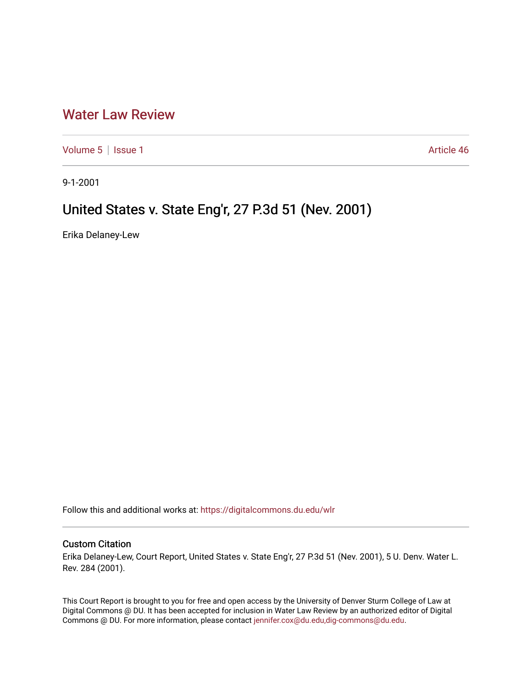## [Water Law Review](https://digitalcommons.du.edu/wlr)

[Volume 5](https://digitalcommons.du.edu/wlr/vol5) | [Issue 1](https://digitalcommons.du.edu/wlr/vol5/iss1) Article 46

9-1-2001

## United States v. State Eng'r, 27 P.3d 51 (Nev. 2001)

Erika Delaney-Lew

Follow this and additional works at: [https://digitalcommons.du.edu/wlr](https://digitalcommons.du.edu/wlr?utm_source=digitalcommons.du.edu%2Fwlr%2Fvol5%2Fiss1%2F46&utm_medium=PDF&utm_campaign=PDFCoverPages) 

## Custom Citation

Erika Delaney-Lew, Court Report, United States v. State Eng'r, 27 P.3d 51 (Nev. 2001), 5 U. Denv. Water L. Rev. 284 (2001).

This Court Report is brought to you for free and open access by the University of Denver Sturm College of Law at Digital Commons @ DU. It has been accepted for inclusion in Water Law Review by an authorized editor of Digital Commons @ DU. For more information, please contact [jennifer.cox@du.edu,dig-commons@du.edu.](mailto:jennifer.cox@du.edu,dig-commons@du.edu)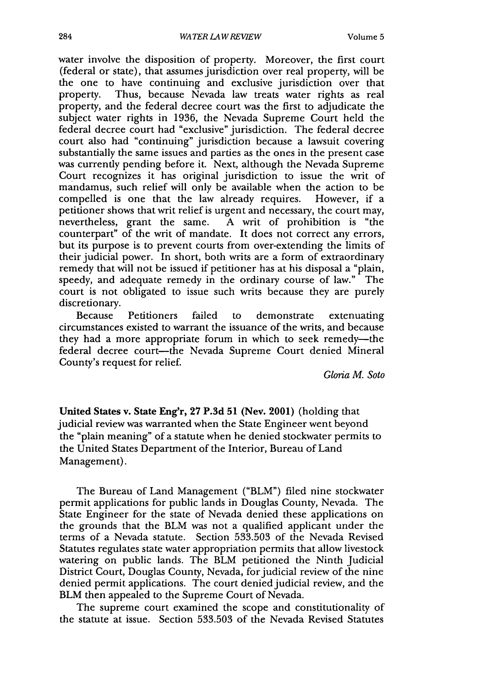water involve the disposition of property. Moreover, the first court (federal or state), that assumes jurisdiction over real property, will be the one to have continuing and exclusive jurisdiction over that property. Thus, because Nevada law treats water rights as real property, and the federal decree court was the first to adjudicate the subject water rights in 1936, the Nevada Supreme Court held the federal decree court had "exclusive" jurisdiction. The federal decree court also had "continuing" jurisdiction because a lawsuit covering substantially the same issues and parties as the ones in the present case was currently pending before it. Next, although the Nevada Supreme Court recognizes it has original jurisdiction to issue the writ of mandamus, such relief will only be available when the action to be compelled is one that the law already requires. However, if a petitioner shows that writ relief is urgent and necessary, the court may, nevertheless, grant the same. A writ of prohibition is "the counterpart" of the writ of mandate. It does not correct any errors, but its purpose is to prevent courts from over-extending the limits of their judicial power. In short, both writs are a form of extraordinary remedy that will not be issued if petitioner has at his disposal a "plain, speedy, and adequate remedy in the ordinary course of law." The court is not obligated to issue such writs because they are purely discretionary.

Because Petitioners failed to demonstrate extenuating circumstances existed to warrant the issuance of the writs, and because they had a more appropriate forum in which to seek remedy-the federal decree court-the Nevada Supreme Court denied Mineral County's request for relief.

*Gloria M. Soto*

**United States v. State Eng'r, 27 P.3d 51 (Nev. 2001) (holding that** judicial review was warranted when the State Engineer went beyond the "plain meaning" of a statute when he denied stockwater permits to the United States Department of the Interior, Bureau of Land Management).

The Bureau of Land Management ("BLM") filed nine stockwater permit applications for public lands in Douglas County, Nevada. The State Engineer for the state of Nevada denied these applications on the grounds that the BLM was not a qualified applicant under the terms of a Nevada statute. Section 533.503 of the Nevada Revised Statutes regulates state water appropriation permits that allow livestock watering on public lands. The BLM petitioned the Ninth Judicial District Court, Douglas County, Nevada, for judicial review of the nine denied permit applications. The court denied judicial review, and the BLM then appealed to the Supreme Court of Nevada.

The supreme court examined the scope and constitutionality of the statute at issue. Section 533.503 of the Nevada Revised Statutes